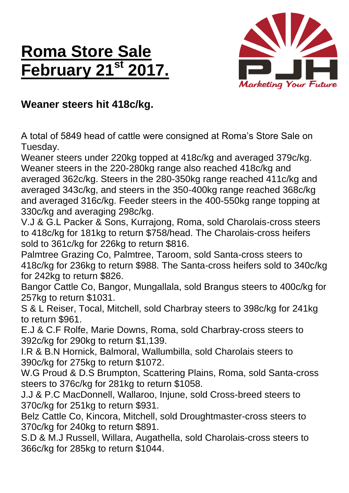## **Roma Store Sale February 21st 2017.**



## **Weaner steers hit 418c/kg.**

A total of 5849 head of cattle were consigned at Roma's Store Sale on Tuesday.

Weaner steers under 220kg topped at 418c/kg and averaged 379c/kg. Weaner steers in the 220-280kg range also reached 418c/kg and averaged 362c/kg. Steers in the 280-350kg range reached 411c/kg and averaged 343c/kg, and steers in the 350-400kg range reached 368c/kg and averaged 316c/kg. Feeder steers in the 400-550kg range topping at 330c/kg and averaging 298c/kg.

V.J & G.L Packer & Sons, Kurrajong, Roma, sold Charolais-cross steers to 418c/kg for 181kg to return \$758/head. The Charolais-cross heifers sold to 361c/kg for 226kg to return \$816.

Palmtree Grazing Co, Palmtree, Taroom, sold Santa-cross steers to 418c/kg for 236kg to return \$988. The Santa-cross heifers sold to 340c/kg for 242kg to return \$826.

Bangor Cattle Co, Bangor, Mungallala, sold Brangus steers to 400c/kg for 257kg to return \$1031.

S & L Reiser, Tocal, Mitchell, sold Charbray steers to 398c/kg for 241kg to return \$961.

E.J & C.F Rolfe, Marie Downs, Roma, sold Charbray-cross steers to 392c/kg for 290kg to return \$1,139.

I.R & B.N Hornick, Balmoral, Wallumbilla, sold Charolais steers to 390c/kg for 275kg to return \$1072.

W.G Proud & D.S Brumpton, Scattering Plains, Roma, sold Santa-cross steers to 376c/kg for 281kg to return \$1058.

J.J & P.C MacDonnell, Wallaroo, Injune, sold Cross-breed steers to 370c/kg for 251kg to return \$931.

Belz Cattle Co, Kincora, Mitchell, sold Droughtmaster-cross steers to 370c/kg for 240kg to return \$891.

S.D & M.J Russell, Willara, Augathella, sold Charolais-cross steers to 366c/kg for 285kg to return \$1044.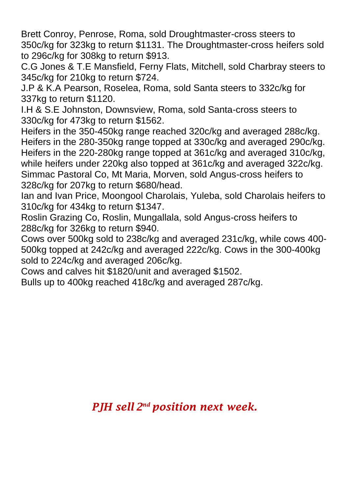Brett Conroy, Penrose, Roma, sold Droughtmaster-cross steers to 350c/kg for 323kg to return \$1131. The Droughtmaster-cross heifers sold to 296c/kg for 308kg to return \$913.

C.G Jones & T.E Mansfield, Ferny Flats, Mitchell, sold Charbray steers to 345c/kg for 210kg to return \$724.

J.P & K.A Pearson, Roselea, Roma, sold Santa steers to 332c/kg for 337kg to return \$1120.

I.H & S.E Johnston, Downsview, Roma, sold Santa-cross steers to 330c/kg for 473kg to return \$1562.

Heifers in the 350-450kg range reached 320c/kg and averaged 288c/kg. Heifers in the 280-350kg range topped at 330c/kg and averaged 290c/kg. Heifers in the 220-280kg range topped at 361c/kg and averaged 310c/kg, while heifers under 220kg also topped at 361c/kg and averaged 322c/kg. Simmac Pastoral Co, Mt Maria, Morven, sold Angus-cross heifers to 328c/kg for 207kg to return \$680/head.

Ian and Ivan Price, Moongool Charolais, Yuleba, sold Charolais heifers to 310c/kg for 434kg to return \$1347.

Roslin Grazing Co, Roslin, Mungallala, sold Angus-cross heifers to 288c/kg for 326kg to return \$940.

Cows over 500kg sold to 238c/kg and averaged 231c/kg, while cows 400- 500kg topped at 242c/kg and averaged 222c/kg. Cows in the 300-400kg sold to 224c/kg and averaged 206c/kg.

Cows and calves hit \$1820/unit and averaged \$1502.

Bulls up to 400kg reached 418c/kg and averaged 287c/kg.

*PJH sell 2 nd position next week.*